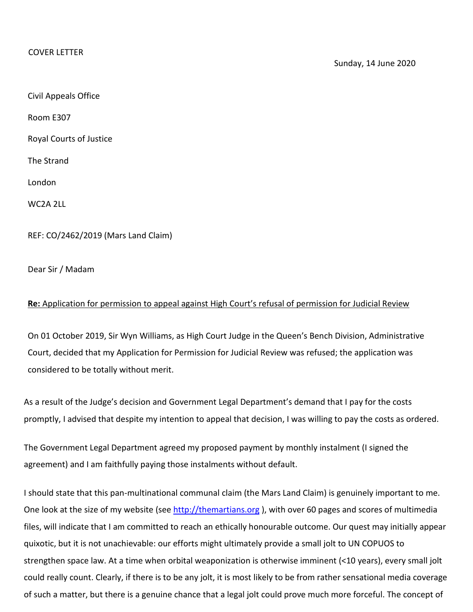## COVER LETTER

Civil Appeals Office

Room E307

Royal Courts of Justice

The Strand

London

WC2A 2LL

REF: CO/2462/2019 (Mars Land Claim)

Dear Sir / Madam

## **Re:** Application for permission to appeal against High Court's refusal of permission for Judicial Review

On 01 October 2019, Sir Wyn Williams, as High Court Judge in the Queen's Bench Division, Administrative Court, decided that my Application for Permission for Judicial Review was refused; the application was considered to be totally without merit.

As a result of the Judge's decision and Government Legal Department's demand that I pay for the costs promptly, I advised that despite my intention to appeal that decision, I was willing to pay the costs as ordered.

The Government Legal Department agreed my proposed payment by monthly instalment (I signed the agreement) and I am faithfully paying those instalments without default.

I should state that this pan-multinational communal claim (the Mars Land Claim) is genuinely important to me. One look at the size of my website (see [http://themartians.org](http://themartians.org/)), with over 60 pages and scores of multimedia files, will indicate that I am committed to reach an ethically honourable outcome. Our quest may initially appear quixotic, but it is not unachievable: our efforts might ultimately provide a small jolt to UN COPUOS to strengthen space law. At a time when orbital weaponization is otherwise imminent (<10 years), every small jolt could really count. Clearly, if there is to be any jolt, it is most likely to be from rather sensational media coverage of such a matter, but there is a genuine chance that a legal jolt could prove much more forceful. The concept of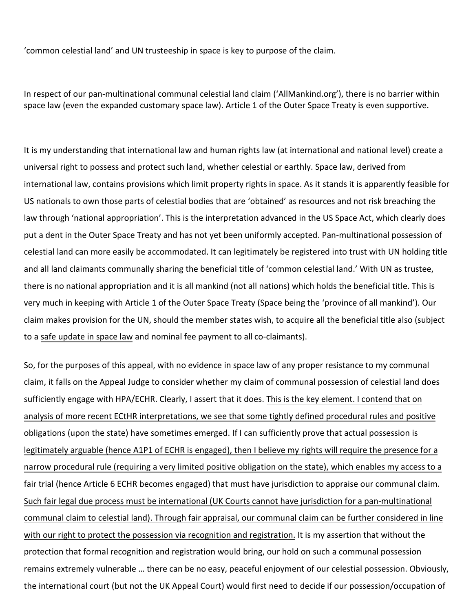'common celestial land' and UN trusteeship in space is key to purpose of the claim.

In respect of our pan-multinational communal celestial land claim ('AllMankind.org'), there is no barrier within space law (even the expanded customary space law). Article 1 of the Outer Space Treaty is even supportive.

It is my understanding that international law and human rights law (at international and national level) create a universal right to possess and protect such land, whether celestial or earthly. Space law, derived from international law, contains provisions which limit property rights in space. As it stands it is apparently feasible for US nationals to own those parts of celestial bodies that are 'obtained' as resources and not risk breaching the law through 'national appropriation'. This is the interpretation advanced in the US Space Act, which clearly does put a dent in the Outer Space Treaty and has not yet been uniformly accepted. Pan-multinational possession of celestial land can more easily be accommodated. It can legitimately be registered into trust with UN holding title and all land claimants communally sharing the beneficial title of 'common celestial land.' With UN as trustee, there is no national appropriation and it is all mankind (not all nations) which holds the beneficial title. This is very much in keeping with Article 1 of the Outer Space Treaty (Space being the 'province of all mankind'). Our claim makes provision for the UN, should the member states wish, to acquire all the beneficial title also (subject to a safe update in space law and nominal fee payment to all co-claimants).

So, for the purposes of this appeal, with no evidence in space law of any proper resistance to my communal claim, it falls on the Appeal Judge to consider whether my claim of communal possession of celestial land does sufficiently engage with HPA/ECHR. Clearly, I assert that it does. This is the key element. I contend that on analysis of more recent ECtHR interpretations, we see that some tightly defined procedural rules and positive obligations (upon the state) have sometimes emerged. If I can sufficiently prove that actual possession is legitimately arguable (hence A1P1 of ECHR is engaged), then I believe my rights will require the presence for a narrow procedural rule (requiring a very limited positive obligation on the state), which enables my access to a fair trial (hence Article 6 ECHR becomes engaged) that must have jurisdiction to appraise our communal claim. Such fair legal due process must be international (UK Courts cannot have jurisdiction for a pan-multinational communal claim to celestial land). Through fair appraisal, our communal claim can be further considered in line with our right to protect the possession via recognition and registration. It is my assertion that without the protection that formal recognition and registration would bring, our hold on such a communal possession remains extremely vulnerable … there can be no easy, peaceful enjoyment of our celestial possession. Obviously, the international court (but not the UK Appeal Court) would first need to decide if our possession/occupation of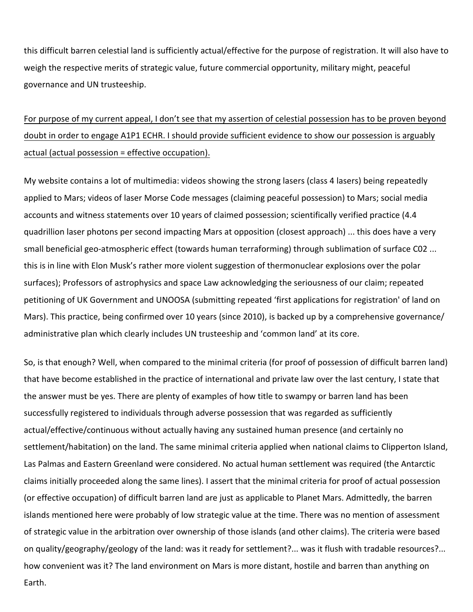this difficult barren celestial land is sufficiently actual/effective for the purpose of registration. It will also have to weigh the respective merits of strategic value, future commercial opportunity, military might, peaceful governance and UN trusteeship.

## For purpose of my current appeal, I don't see that my assertion of celestial possession has to be proven beyond doubt in order to engage A1P1 ECHR. I should provide sufficient evidence to show our possession is arguably actual (actual possession = effective occupation).

My website contains a lot of multimedia: videos showing the strong lasers (class 4 lasers) being repeatedly applied to Mars; videos of laser Morse Code messages (claiming peaceful possession) to Mars; social media accounts and witness statements over 10 years of claimed possession; scientifically verified practice (4.4 quadrillion laser photons per second impacting Mars at opposition (closest approach) ... this does have a very small beneficial geo-atmospheric effect (towards human terraforming) through sublimation of surface C02 ... this is in line with Elon Musk's rather more violent suggestion of thermonuclear explosions over the polar surfaces); Professors of astrophysics and space Law acknowledging the seriousness of our claim; repeated petitioning of UK Government and UNOOSA (submitting repeated 'first applications for registration' of land on Mars). This practice, being confirmed over 10 years (since 2010), is backed up by a comprehensive governance/ administrative plan which clearly includes UN trusteeship and 'common land' at its core.

So, is that enough? Well, when compared to the minimal criteria (for proof of possession of difficult barren land) that have become established in the practice of international and private law over the last century, I state that the answer must be yes. There are plenty of examples of how title to swampy or barren land has been successfully registered to individuals through adverse possession that was regarded as sufficiently actual/effective/continuous without actually having any sustained human presence (and certainly no settlement/habitation) on the land. The same minimal criteria applied when national claims to Clipperton Island, Las Palmas and Eastern Greenland were considered. No actual human settlement was required (the Antarctic claims initially proceeded along the same lines). I assert that the minimal criteria for proof of actual possession (or effective occupation) of difficult barren land are just as applicable to Planet Mars. Admittedly, the barren islands mentioned here were probably of low strategic value at the time. There was no mention of assessment of strategic value in the arbitration over ownership of those islands (and other claims). The criteria were based on quality/geography/geology of the land: was it ready for settlement?... was it flush with tradable resources?... how convenient was it? The land environment on Mars is more distant, hostile and barren than anything on Earth.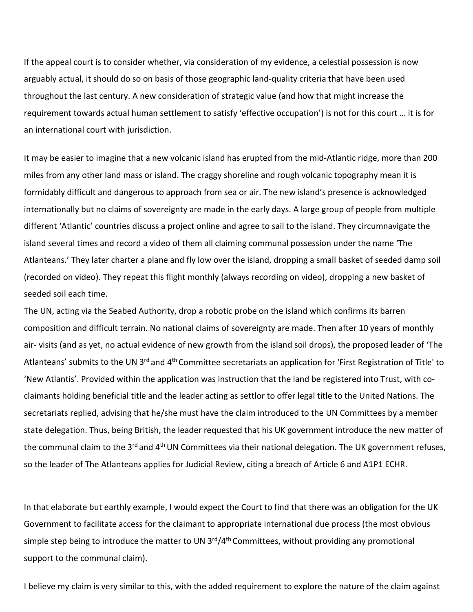If the appeal court is to consider whether, via consideration of my evidence, a celestial possession is now arguably actual, it should do so on basis of those geographic land-quality criteria that have been used throughout the last century. A new consideration of strategic value (and how that might increase the requirement towards actual human settlement to satisfy 'effective occupation') is not for this court … it is for an international court with jurisdiction.

It may be easier to imagine that a new volcanic island has erupted from the mid-Atlantic ridge, more than 200 miles from any other land mass or island. The craggy shoreline and rough volcanic topography mean it is formidably difficult and dangerous to approach from sea or air. The new island's presence is acknowledged internationally but no claims of sovereignty are made in the early days. A large group of people from multiple different 'Atlantic' countries discuss a project online and agree to sail to the island. They circumnavigate the island several times and record a video of them all claiming communal possession under the name 'The Atlanteans.' They later charter a plane and fly low over the island, dropping a small basket of seeded damp soil (recorded on video). They repeat this flight monthly (always recording on video), dropping a new basket of seeded soil each time.

The UN, acting via the Seabed Authority, drop a robotic probe on the island which confirms its barren composition and difficult terrain. No national claims of sovereignty are made. Then after 10 years of monthly air- visits (and as yet, no actual evidence of new growth from the island soil drops), the proposed leader of 'The Atlanteans' submits to the UN 3<sup>rd</sup> and 4<sup>th</sup> Committee secretariats an application for 'First Registration of Title' to 'New Atlantis'. Provided within the application was instruction that the land be registered into Trust, with coclaimants holding beneficial title and the leader acting as settlor to offer legal title to the United Nations. The secretariats replied, advising that he/she must have the claim introduced to the UN Committees by a member state delegation. Thus, being British, the leader requested that his UK government introduce the new matter of the communal claim to the 3<sup>rd</sup> and 4<sup>th</sup> UN Committees via their national delegation. The UK government refuses, so the leader of The Atlanteans applies for Judicial Review, citing a breach of Article 6 and A1P1 ECHR.

In that elaborate but earthly example, I would expect the Court to find that there was an obligation for the UK Government to facilitate access for the claimant to appropriate international due process (the most obvious simple step being to introduce the matter to UN  $3<sup>rd</sup>/4<sup>th</sup>$  Committees, without providing any promotional support to the communal claim).

I believe my claim is very similar to this, with the added requirement to explore the nature of the claim against